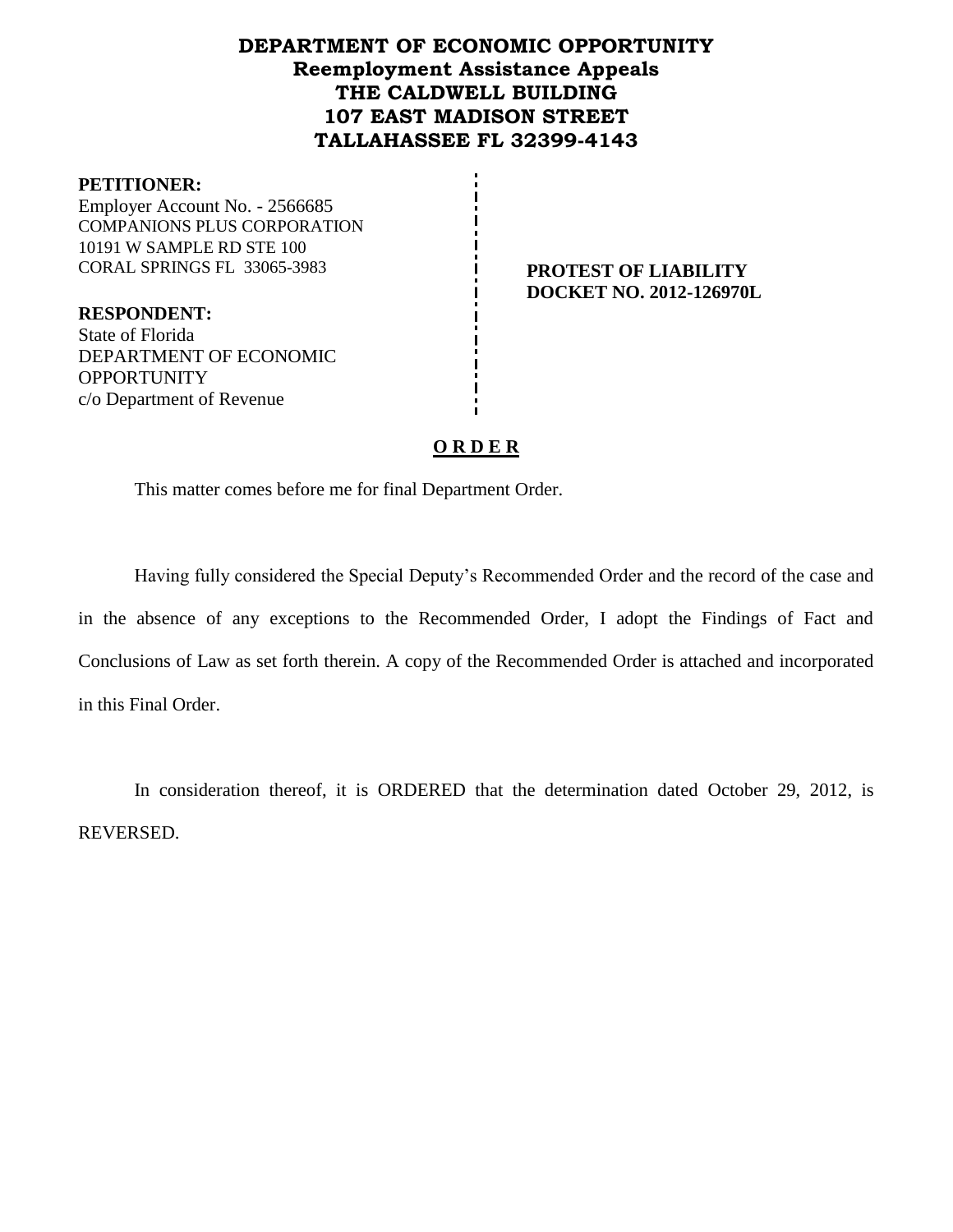# **DEPARTMENT OF ECONOMIC OPPORTUNITY Reemployment Assistance Appeals THE CALDWELL BUILDING 107 EAST MADISON STREET TALLAHASSEE FL 32399-4143**

#### **PETITIONER:**

Employer Account No. - 2566685 COMPANIONS PLUS CORPORATION 10191 W SAMPLE RD STE 100 CORAL SPRINGS FL 33065-3983 **PROTEST OF LIABILITY**

**DOCKET NO. 2012-126970L**

**RESPONDENT:** State of Florida DEPARTMENT OF ECONOMIC **OPPORTUNITY** c/o Department of Revenue

# **O R D E R**

This matter comes before me for final Department Order.

Having fully considered the Special Deputy's Recommended Order and the record of the case and in the absence of any exceptions to the Recommended Order, I adopt the Findings of Fact and Conclusions of Law as set forth therein. A copy of the Recommended Order is attached and incorporated in this Final Order.

In consideration thereof, it is ORDERED that the determination dated October 29, 2012, is REVERSED.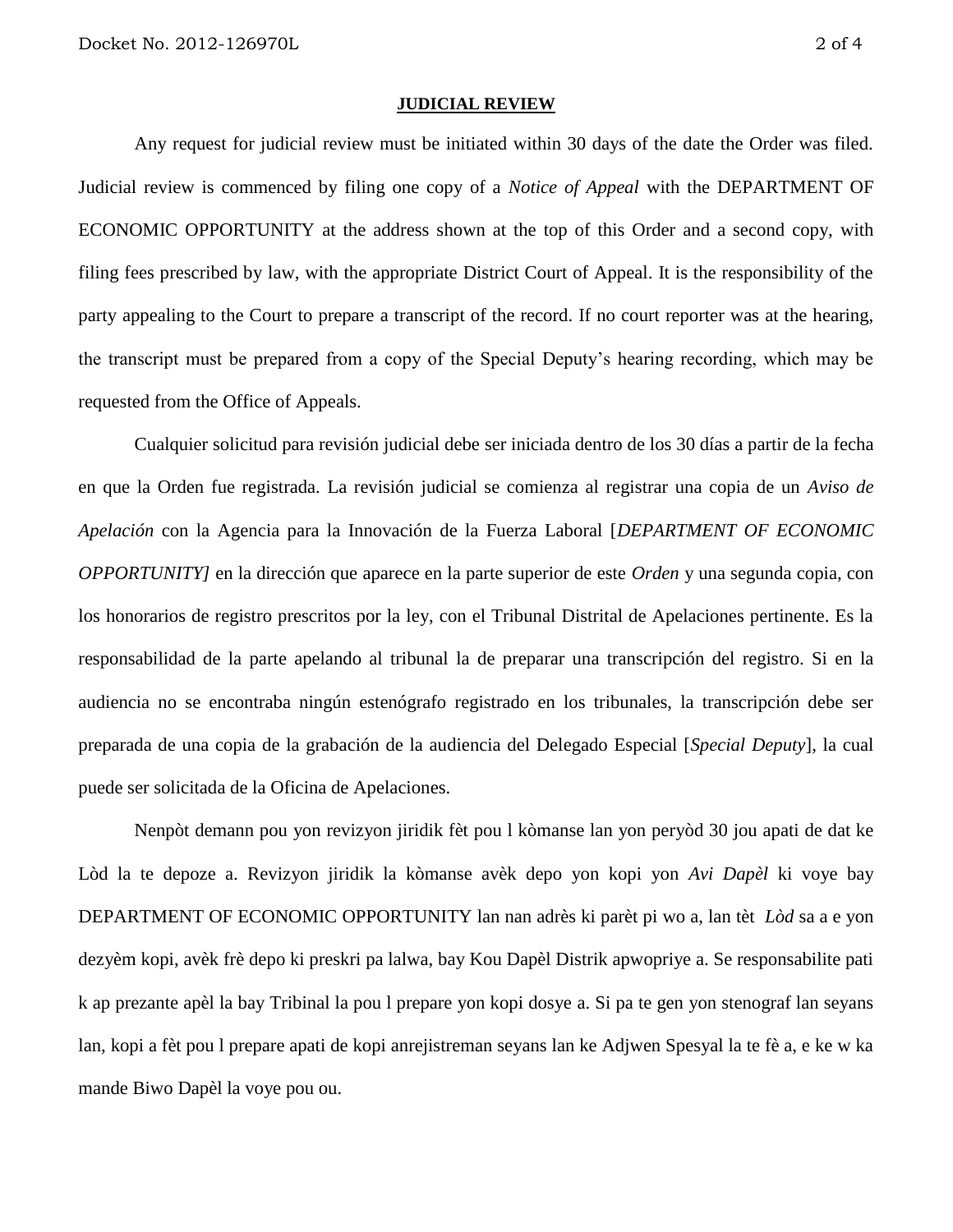#### **JUDICIAL REVIEW**

Any request for judicial review must be initiated within 30 days of the date the Order was filed. Judicial review is commenced by filing one copy of a *Notice of Appeal* with the DEPARTMENT OF ECONOMIC OPPORTUNITY at the address shown at the top of this Order and a second copy, with filing fees prescribed by law, with the appropriate District Court of Appeal. It is the responsibility of the party appealing to the Court to prepare a transcript of the record. If no court reporter was at the hearing, the transcript must be prepared from a copy of the Special Deputy's hearing recording, which may be requested from the Office of Appeals.

Cualquier solicitud para revisión judicial debe ser iniciada dentro de los 30 días a partir de la fecha en que la Orden fue registrada. La revisión judicial se comienza al registrar una copia de un *Aviso de Apelación* con la Agencia para la Innovación de la Fuerza Laboral [*DEPARTMENT OF ECONOMIC OPPORTUNITY]* en la dirección que aparece en la parte superior de este *Orden* y una segunda copia, con los honorarios de registro prescritos por la ley, con el Tribunal Distrital de Apelaciones pertinente. Es la responsabilidad de la parte apelando al tribunal la de preparar una transcripción del registro. Si en la audiencia no se encontraba ningún estenógrafo registrado en los tribunales, la transcripción debe ser preparada de una copia de la grabación de la audiencia del Delegado Especial [*Special Deputy*], la cual puede ser solicitada de la Oficina de Apelaciones.

Nenpòt demann pou yon revizyon jiridik fèt pou l kòmanse lan yon peryòd 30 jou apati de dat ke Lòd la te depoze a. Revizyon jiridik la kòmanse avèk depo yon kopi yon *Avi Dapèl* ki voye bay DEPARTMENT OF ECONOMIC OPPORTUNITY lan nan adrès ki parèt pi wo a, lan tèt *Lòd* sa a e yon dezyèm kopi, avèk frè depo ki preskri pa lalwa, bay Kou Dapèl Distrik apwopriye a. Se responsabilite pati k ap prezante apèl la bay Tribinal la pou l prepare yon kopi dosye a. Si pa te gen yon stenograf lan seyans lan, kopi a fèt pou l prepare apati de kopi anrejistreman seyans lan ke Adjwen Spesyal la te fè a, e ke w ka mande Biwo Dapèl la voye pou ou.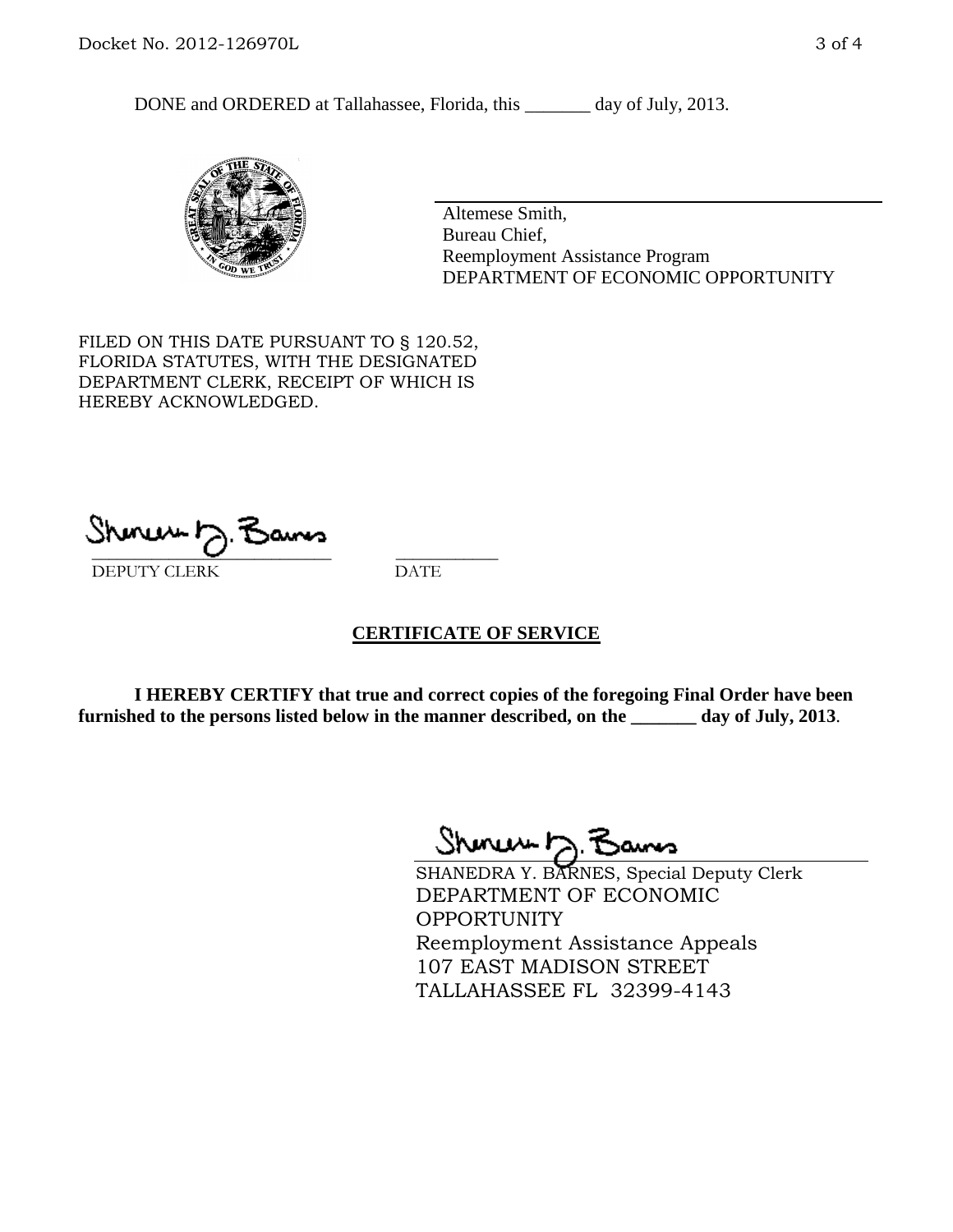DONE and ORDERED at Tallahassee, Florida, this \_\_\_\_\_\_\_ day of July, 2013.



Altemese Smith, Bureau Chief, Reemployment Assistance Program DEPARTMENT OF ECONOMIC OPPORTUNITY

FILED ON THIS DATE PURSUANT TO § 120.52, FLORIDA STATUTES, WITH THE DESIGNATED DEPARTMENT CLERK, RECEIPT OF WHICH IS HEREBY ACKNOWLEDGED.

 $\overline{\phantom{a}}$  ,  $\overline{\phantom{a}}$  ,  $\overline{\phantom{a}}$  ,  $\overline{\phantom{a}}$  ,  $\overline{\phantom{a}}$  ,  $\overline{\phantom{a}}$  ,  $\overline{\phantom{a}}$  ,  $\overline{\phantom{a}}$ DEPUTY CLERK DATE

### **CERTIFICATE OF SERVICE**

**I HEREBY CERTIFY that true and correct copies of the foregoing Final Order have been furnished to the persons listed below in the manner described, on the \_\_\_\_\_\_\_ day of July, 2013**.

Shinew b.F

SHANEDRA Y. BARNES, Special Deputy Clerk DEPARTMENT OF ECONOMIC **OPPORTUNITY** Reemployment Assistance Appeals 107 EAST MADISON STREET TALLAHASSEE FL 32399-4143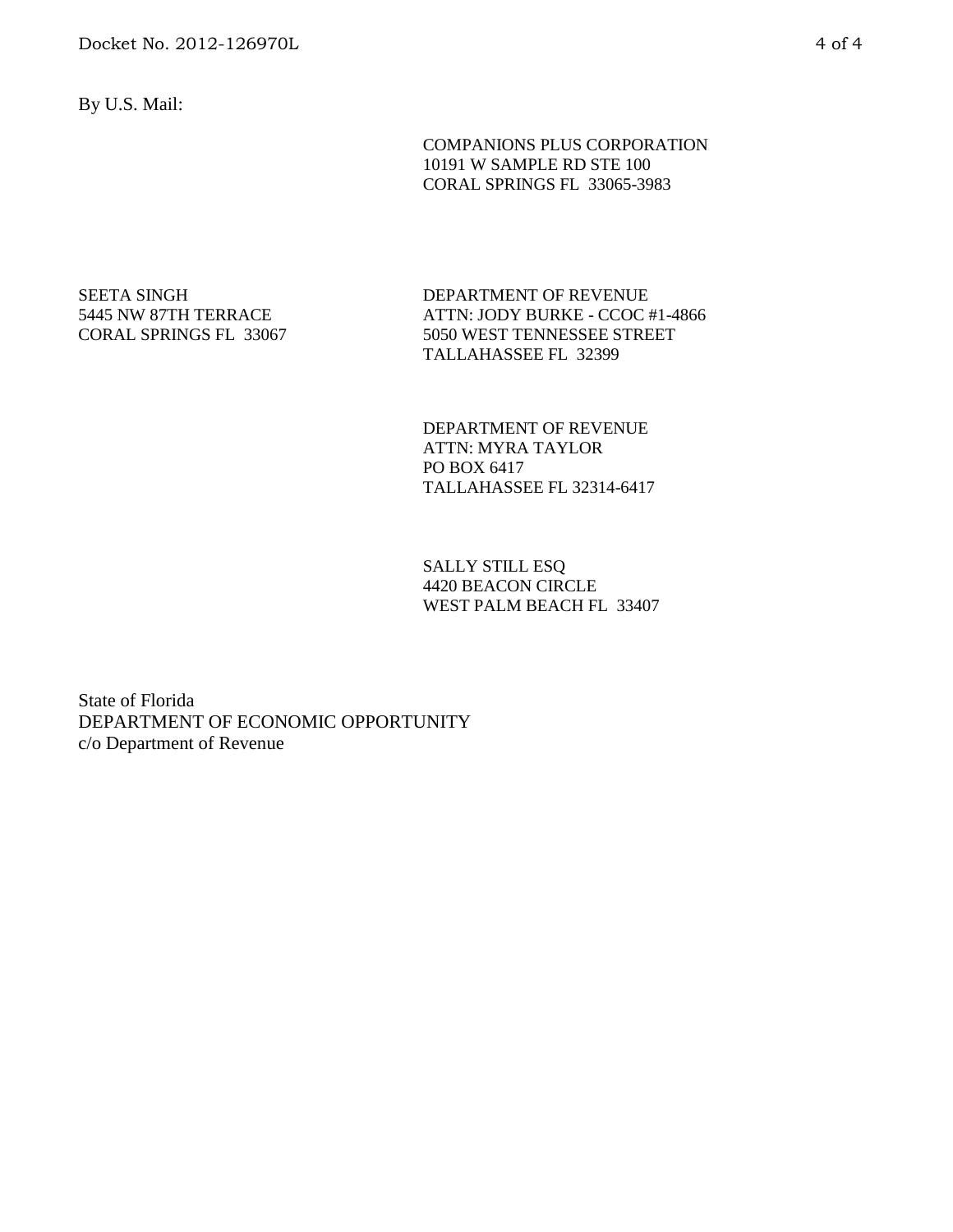By U.S. Mail:

COMPANIONS PLUS CORPORATION 10191 W SAMPLE RD STE 100 CORAL SPRINGS FL 33065-3983

SEETA SINGH 5445 NW 87TH TERRACE CORAL SPRINGS FL 33067 DEPARTMENT OF REVENUE ATTN: JODY BURKE - CCOC #1-4866 5050 WEST TENNESSEE STREET TALLAHASSEE FL 32399

DEPARTMENT OF REVENUE ATTN: MYRA TAYLOR PO BOX 6417 TALLAHASSEE FL 32314-6417

SALLY STILL ESQ 4420 BEACON CIRCLE WEST PALM BEACH FL 33407

State of Florida DEPARTMENT OF ECONOMIC OPPORTUNITY c/o Department of Revenue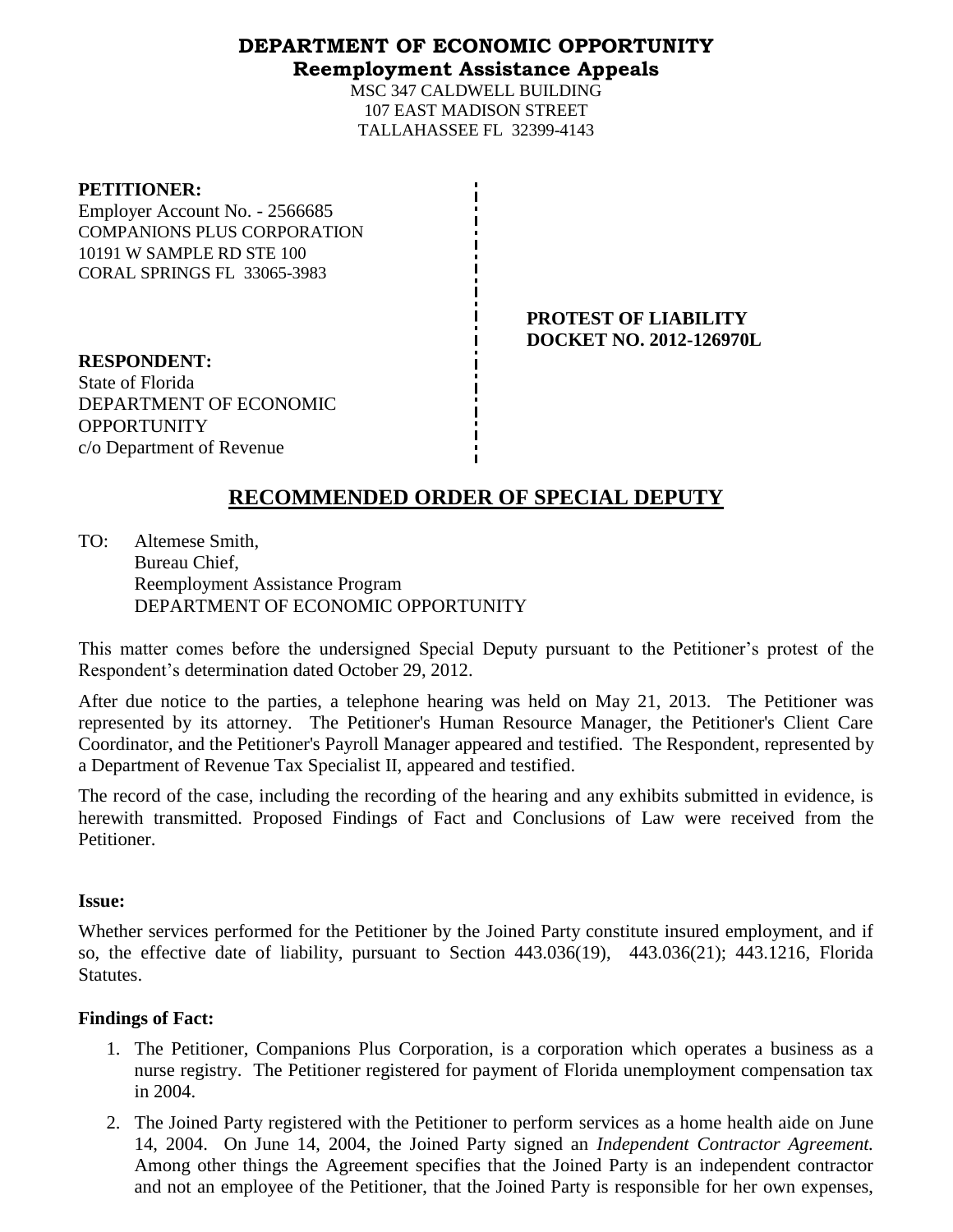# **DEPARTMENT OF ECONOMIC OPPORTUNITY Reemployment Assistance Appeals**

MSC 347 CALDWELL BUILDING 107 EAST MADISON STREET TALLAHASSEE FL 32399-4143

### **PETITIONER:**

Employer Account No. - 2566685 COMPANIONS PLUS CORPORATION 10191 W SAMPLE RD STE 100 CORAL SPRINGS FL 33065-3983

> **PROTEST OF LIABILITY DOCKET NO. 2012-126970L**

**RESPONDENT:** State of Florida DEPARTMENT OF ECONOMIC **OPPORTUNITY** c/o Department of Revenue

# **RECOMMENDED ORDER OF SPECIAL DEPUTY**

TO: Altemese Smith, Bureau Chief, Reemployment Assistance Program DEPARTMENT OF ECONOMIC OPPORTUNITY

This matter comes before the undersigned Special Deputy pursuant to the Petitioner's protest of the Respondent's determination dated October 29, 2012.

After due notice to the parties, a telephone hearing was held on May 21, 2013. The Petitioner was represented by its attorney. The Petitioner's Human Resource Manager, the Petitioner's Client Care Coordinator, and the Petitioner's Payroll Manager appeared and testified. The Respondent, represented by a Department of Revenue Tax Specialist II, appeared and testified.

The record of the case, including the recording of the hearing and any exhibits submitted in evidence, is herewith transmitted. Proposed Findings of Fact and Conclusions of Law were received from the Petitioner.

### **Issue:**

Whether services performed for the Petitioner by the Joined Party constitute insured employment, and if so, the effective date of liability, pursuant to Section 443.036(19), 443.036(21); 443.1216, Florida Statutes.

# **Findings of Fact:**

- 1. The Petitioner, Companions Plus Corporation, is a corporation which operates a business as a nurse registry. The Petitioner registered for payment of Florida unemployment compensation tax in 2004.
- 2. The Joined Party registered with the Petitioner to perform services as a home health aide on June 14, 2004. On June 14, 2004, the Joined Party signed an *Independent Contractor Agreement.* Among other things the Agreement specifies that the Joined Party is an independent contractor and not an employee of the Petitioner, that the Joined Party is responsible for her own expenses,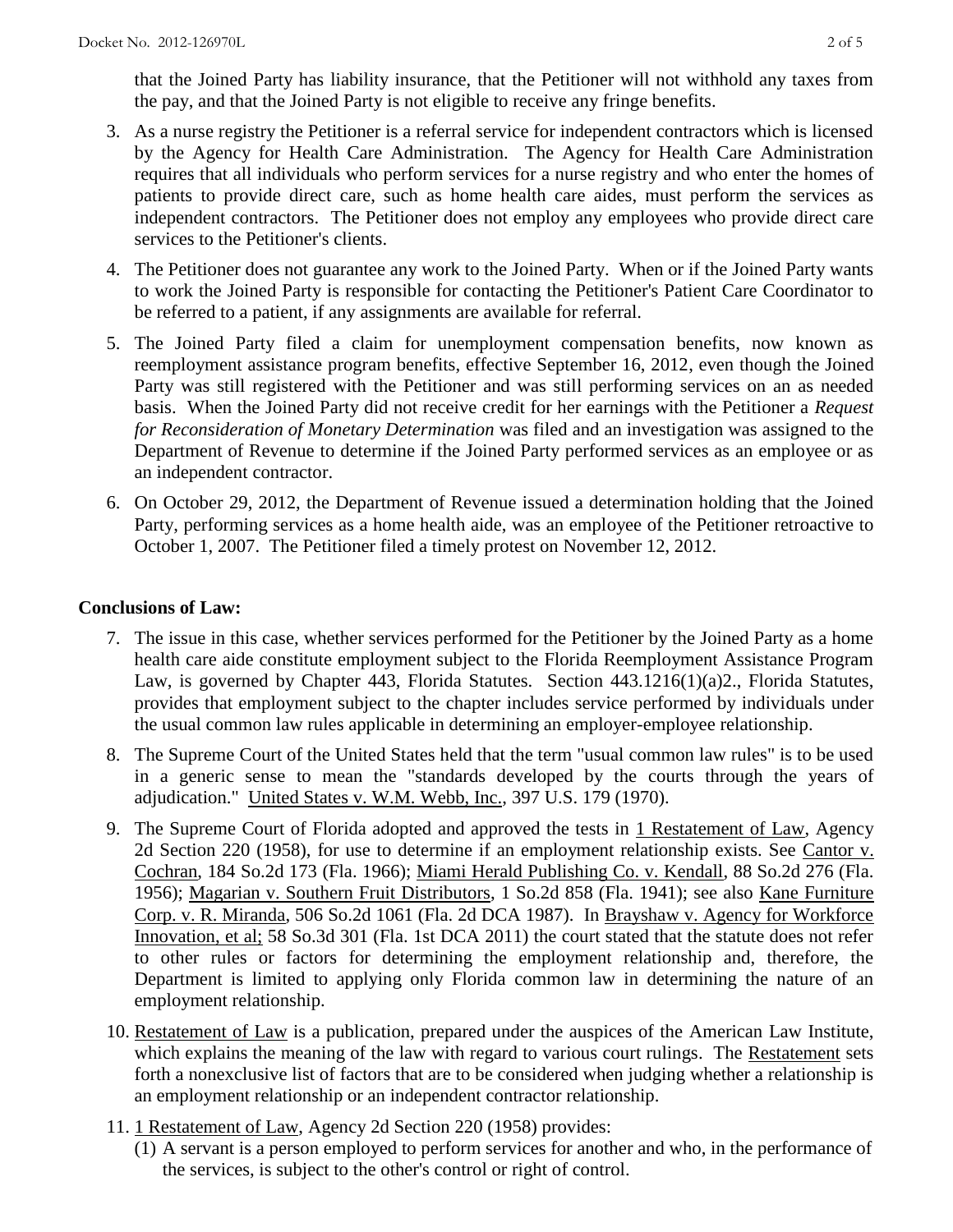that the Joined Party has liability insurance, that the Petitioner will not withhold any taxes from the pay, and that the Joined Party is not eligible to receive any fringe benefits.

- 3. As a nurse registry the Petitioner is a referral service for independent contractors which is licensed by the Agency for Health Care Administration. The Agency for Health Care Administration requires that all individuals who perform services for a nurse registry and who enter the homes of patients to provide direct care, such as home health care aides, must perform the services as independent contractors. The Petitioner does not employ any employees who provide direct care services to the Petitioner's clients.
- 4. The Petitioner does not guarantee any work to the Joined Party. When or if the Joined Party wants to work the Joined Party is responsible for contacting the Petitioner's Patient Care Coordinator to be referred to a patient, if any assignments are available for referral.
- 5. The Joined Party filed a claim for unemployment compensation benefits, now known as reemployment assistance program benefits, effective September 16, 2012, even though the Joined Party was still registered with the Petitioner and was still performing services on an as needed basis. When the Joined Party did not receive credit for her earnings with the Petitioner a *Request for Reconsideration of Monetary Determination* was filed and an investigation was assigned to the Department of Revenue to determine if the Joined Party performed services as an employee or as an independent contractor.
- 6. On October 29, 2012, the Department of Revenue issued a determination holding that the Joined Party, performing services as a home health aide, was an employee of the Petitioner retroactive to October 1, 2007. The Petitioner filed a timely protest on November 12, 2012.

### **Conclusions of Law:**

- 7. The issue in this case, whether services performed for the Petitioner by the Joined Party as a home health care aide constitute employment subject to the Florida Reemployment Assistance Program Law, is governed by Chapter 443, Florida Statutes. Section 443.1216(1)(a)2., Florida Statutes, provides that employment subject to the chapter includes service performed by individuals under the usual common law rules applicable in determining an employer-employee relationship.
- 8. The Supreme Court of the United States held that the term "usual common law rules" is to be used in a generic sense to mean the "standards developed by the courts through the years of adjudication." United States v. W.M. Webb, Inc., 397 U.S. 179 (1970).
- 9. The Supreme Court of Florida adopted and approved the tests in 1 Restatement of Law, Agency 2d Section 220 (1958), for use to determine if an employment relationship exists. See Cantor v. Cochran, 184 So.2d 173 (Fla. 1966); Miami Herald Publishing Co. v. Kendall, 88 So.2d 276 (Fla. 1956); Magarian v. Southern Fruit Distributors, 1 So.2d 858 (Fla. 1941); see also Kane Furniture Corp. v. R. Miranda, 506 So.2d 1061 (Fla. 2d DCA 1987). In Brayshaw v. Agency for Workforce Innovation, et al; 58 So.3d 301 (Fla. 1st DCA 2011) the court stated that the statute does not refer to other rules or factors for determining the employment relationship and, therefore, the Department is limited to applying only Florida common law in determining the nature of an employment relationship.
- 10. Restatement of Law is a publication, prepared under the auspices of the American Law Institute, which explains the meaning of the law with regard to various court rulings. The Restatement sets forth a nonexclusive list of factors that are to be considered when judging whether a relationship is an employment relationship or an independent contractor relationship.
- 11. 1 Restatement of Law, Agency 2d Section 220 (1958) provides:
	- (1) A servant is a person employed to perform services for another and who, in the performance of the services, is subject to the other's control or right of control.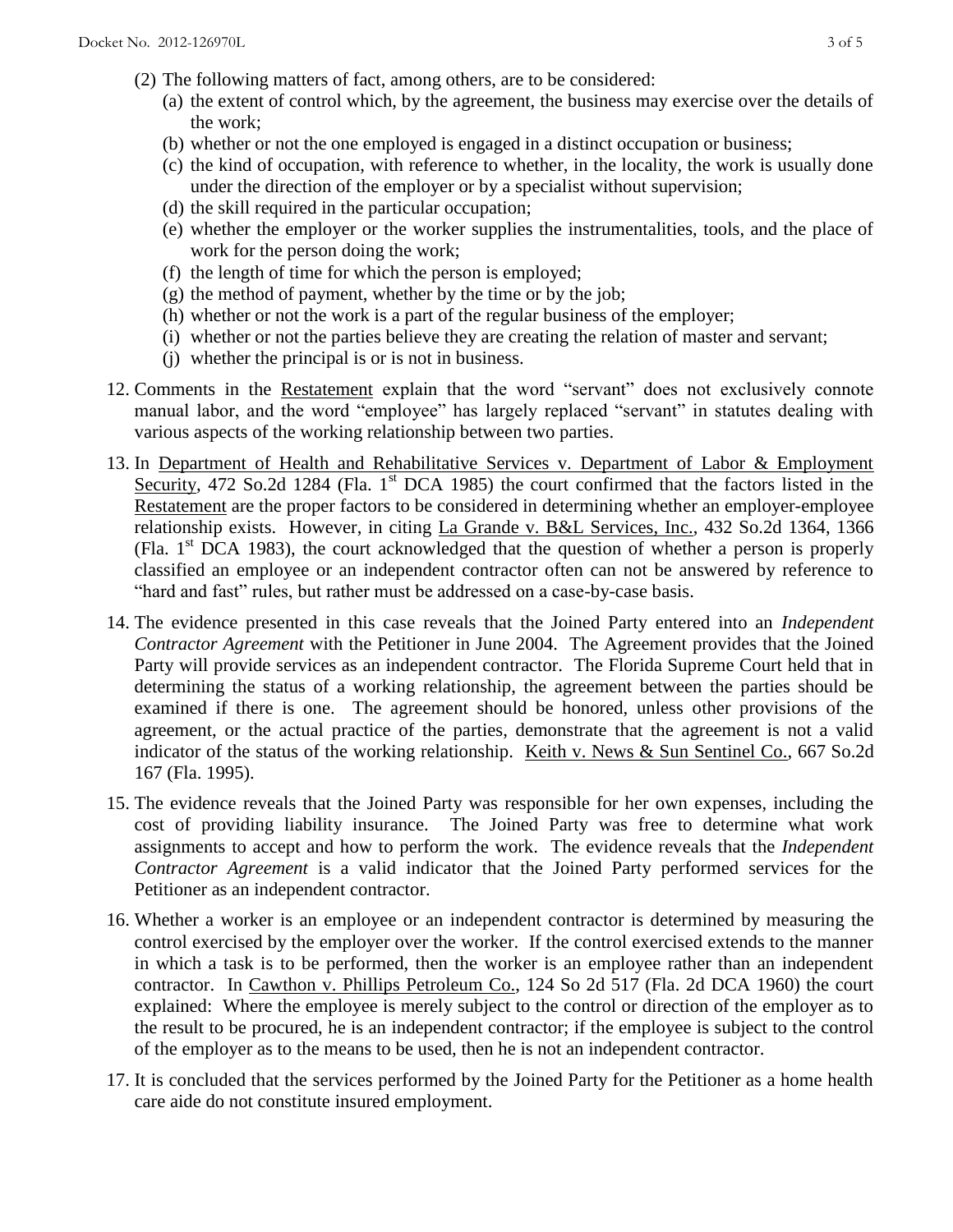- (2) The following matters of fact, among others, are to be considered:
	- (a) the extent of control which, by the agreement, the business may exercise over the details of the work;
	- (b) whether or not the one employed is engaged in a distinct occupation or business;
	- (c) the kind of occupation, with reference to whether, in the locality, the work is usually done under the direction of the employer or by a specialist without supervision;
	- (d) the skill required in the particular occupation;
	- (e) whether the employer or the worker supplies the instrumentalities, tools, and the place of work for the person doing the work;
	- (f) the length of time for which the person is employed;
	- $(g)$  the method of payment, whether by the time or by the job;
	- (h) whether or not the work is a part of the regular business of the employer;
	- (i) whether or not the parties believe they are creating the relation of master and servant;
	- (j) whether the principal is or is not in business.
- 12. Comments in the Restatement explain that the word "servant" does not exclusively connote manual labor, and the word "employee" has largely replaced "servant" in statutes dealing with various aspects of the working relationship between two parties.
- 13. In Department of Health and Rehabilitative Services v. Department of Labor & Employment Security, 472 So.2d 1284 (Fla. 1<sup>st</sup> DCA 1985) the court confirmed that the factors listed in the Restatement are the proper factors to be considered in determining whether an employer-employee relationship exists. However, in citing La Grande v. B&L Services, Inc., 432 So.2d 1364, 1366 (Fla.  $1<sup>st</sup>$  DCA 1983), the court acknowledged that the question of whether a person is properly classified an employee or an independent contractor often can not be answered by reference to "hard and fast" rules, but rather must be addressed on a case-by-case basis.
- 14. The evidence presented in this case reveals that the Joined Party entered into an *Independent Contractor Agreement* with the Petitioner in June 2004. The Agreement provides that the Joined Party will provide services as an independent contractor. The Florida Supreme Court held that in determining the status of a working relationship, the agreement between the parties should be examined if there is one. The agreement should be honored, unless other provisions of the agreement, or the actual practice of the parties, demonstrate that the agreement is not a valid indicator of the status of the working relationship. Keith v. News & Sun Sentinel Co., 667 So.2d 167 (Fla. 1995).
- 15. The evidence reveals that the Joined Party was responsible for her own expenses, including the cost of providing liability insurance. The Joined Party was free to determine what work assignments to accept and how to perform the work. The evidence reveals that the *Independent Contractor Agreement* is a valid indicator that the Joined Party performed services for the Petitioner as an independent contractor.
- 16. Whether a worker is an employee or an independent contractor is determined by measuring the control exercised by the employer over the worker. If the control exercised extends to the manner in which a task is to be performed, then the worker is an employee rather than an independent contractor. In Cawthon v. Phillips Petroleum Co., 124 So 2d 517 (Fla. 2d DCA 1960) the court explained: Where the employee is merely subject to the control or direction of the employer as to the result to be procured, he is an independent contractor; if the employee is subject to the control of the employer as to the means to be used, then he is not an independent contractor.
- 17. It is concluded that the services performed by the Joined Party for the Petitioner as a home health care aide do not constitute insured employment.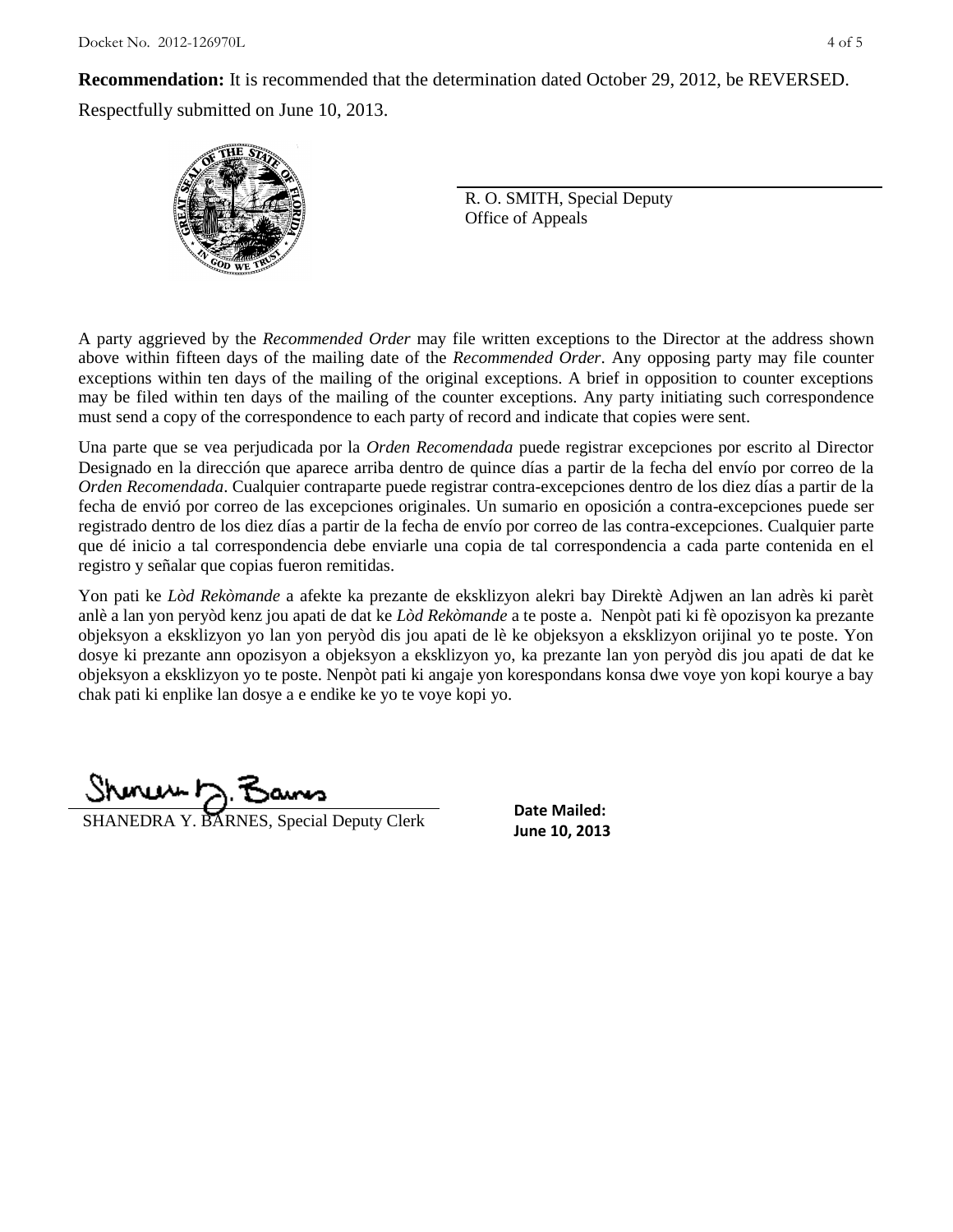**Recommendation:** It is recommended that the determination dated October 29, 2012, be REVERSED.

Respectfully submitted on June 10, 2013.



R. O. SMITH, Special Deputy Office of Appeals

A party aggrieved by the *Recommended Order* may file written exceptions to the Director at the address shown above within fifteen days of the mailing date of the *Recommended Order*. Any opposing party may file counter exceptions within ten days of the mailing of the original exceptions. A brief in opposition to counter exceptions may be filed within ten days of the mailing of the counter exceptions. Any party initiating such correspondence must send a copy of the correspondence to each party of record and indicate that copies were sent.

Una parte que se vea perjudicada por la *Orden Recomendada* puede registrar excepciones por escrito al Director Designado en la dirección que aparece arriba dentro de quince días a partir de la fecha del envío por correo de la *Orden Recomendada*. Cualquier contraparte puede registrar contra-excepciones dentro de los diez días a partir de la fecha de envió por correo de las excepciones originales. Un sumario en oposición a contra-excepciones puede ser registrado dentro de los diez días a partir de la fecha de envío por correo de las contra-excepciones. Cualquier parte que dé inicio a tal correspondencia debe enviarle una copia de tal correspondencia a cada parte contenida en el registro y señalar que copias fueron remitidas.

Yon pati ke *Lòd Rekòmande* a afekte ka prezante de eksklizyon alekri bay Direktè Adjwen an lan adrès ki parèt anlè a lan yon peryòd kenz jou apati de dat ke *Lòd Rekòmande* a te poste a. Nenpòt pati ki fè opozisyon ka prezante objeksyon a eksklizyon yo lan yon peryòd dis jou apati de lè ke objeksyon a eksklizyon orijinal yo te poste. Yon dosye ki prezante ann opozisyon a objeksyon a eksklizyon yo, ka prezante lan yon peryòd dis jou apati de dat ke objeksyon a eksklizyon yo te poste. Nenpòt pati ki angaje yon korespondans konsa dwe voye yon kopi kourye a bay chak pati ki enplike lan dosye a e endike ke yo te voye kopi yo.

**June 10, 2013**<br>**June 10, 2013** 

**Date Mailed:**